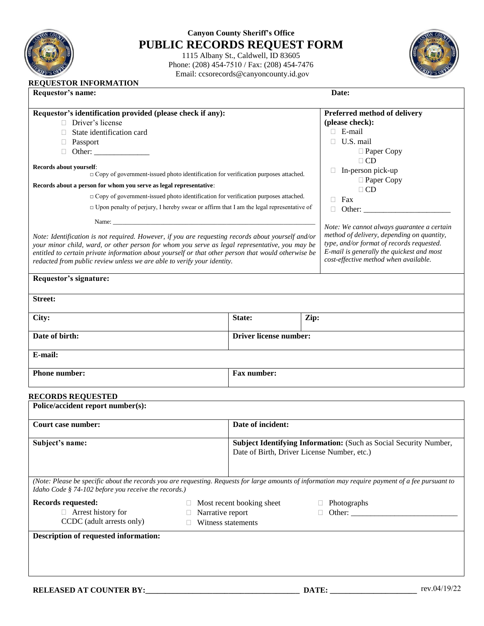

## **Canyon County Sheriff's Office PUBLIC RECORDS REQUEST FORM**

1115 Albany St., Caldwell, ID 83605 Phone: (208) 454-7510 / Fax: (208) 454-7476 Email: ccsorecords@canyoncounty.id.gov



| Requestor's identification provided (please check if any):<br>Preferred method of delivery<br>Driver's license<br>(please check):<br>$\Box$ E-mail<br>$\Box$ State identification card<br>$\Box$ U.S. mail<br>□ Passport<br>$\Box$ Paper Copy<br>$\Box$ CD<br>$\Box$ In-person pick-up<br>□ Copy of government-issued photo identification for verification purposes attached.<br>$\Box$ Paper Copy<br>Records about a person for whom you serve as legal representative:<br>$\Box$ CD<br>$\Box$ Copy of government-issued photo identification for verification purposes attached.<br>$\Box$ Fax<br>$\Box$ Upon penalty of perjury, I hereby swear or affirm that I am the legal representative of<br>$\Box$ Other:<br>Note: We cannot always guarantee a certain<br>method of delivery, depending on quantity,<br>Note: Identification is not required. However, if you are requesting records about yourself and/or<br>type, and/or format of records requested.<br>your minor child, ward, or other person for whom you serve as legal representative, you may be<br>E-mail is generally the quickest and most<br>cost-effective method when available.<br>redacted from public review unless we are able to verify your identity.<br>Requestor's signature:<br>State:<br>Zip:<br>Date of birth:<br><b>Driver license number:</b><br>E-mail:<br>Fax number:<br><b>RECORDS REQUESTED</b><br>Date of incident:<br>Subject Identifying Information: (Such as Social Security Number,<br>Date of Birth, Driver License Number, etc.)<br>(Note: Please be specific about the records you are requesting. Requests for large amounts of information may require payment of a fee pursuant to<br>Idaho Code § 74-102 before you receive the records.) | Requestor's name:<br>Date:                                                                          |  |  |  |
|----------------------------------------------------------------------------------------------------------------------------------------------------------------------------------------------------------------------------------------------------------------------------------------------------------------------------------------------------------------------------------------------------------------------------------------------------------------------------------------------------------------------------------------------------------------------------------------------------------------------------------------------------------------------------------------------------------------------------------------------------------------------------------------------------------------------------------------------------------------------------------------------------------------------------------------------------------------------------------------------------------------------------------------------------------------------------------------------------------------------------------------------------------------------------------------------------------------------------------------------------------------------------------------------------------------------------------------------------------------------------------------------------------------------------------------------------------------------------------------------------------------------------------------------------------------------------------------------------------------------------------------------------------------------------------------------------------------------------------------------------|-----------------------------------------------------------------------------------------------------|--|--|--|
|                                                                                                                                                                                                                                                                                                                                                                                                                                                                                                                                                                                                                                                                                                                                                                                                                                                                                                                                                                                                                                                                                                                                                                                                                                                                                                                                                                                                                                                                                                                                                                                                                                                                                                                                                    |                                                                                                     |  |  |  |
|                                                                                                                                                                                                                                                                                                                                                                                                                                                                                                                                                                                                                                                                                                                                                                                                                                                                                                                                                                                                                                                                                                                                                                                                                                                                                                                                                                                                                                                                                                                                                                                                                                                                                                                                                    |                                                                                                     |  |  |  |
|                                                                                                                                                                                                                                                                                                                                                                                                                                                                                                                                                                                                                                                                                                                                                                                                                                                                                                                                                                                                                                                                                                                                                                                                                                                                                                                                                                                                                                                                                                                                                                                                                                                                                                                                                    |                                                                                                     |  |  |  |
|                                                                                                                                                                                                                                                                                                                                                                                                                                                                                                                                                                                                                                                                                                                                                                                                                                                                                                                                                                                                                                                                                                                                                                                                                                                                                                                                                                                                                                                                                                                                                                                                                                                                                                                                                    |                                                                                                     |  |  |  |
|                                                                                                                                                                                                                                                                                                                                                                                                                                                                                                                                                                                                                                                                                                                                                                                                                                                                                                                                                                                                                                                                                                                                                                                                                                                                                                                                                                                                                                                                                                                                                                                                                                                                                                                                                    |                                                                                                     |  |  |  |
|                                                                                                                                                                                                                                                                                                                                                                                                                                                                                                                                                                                                                                                                                                                                                                                                                                                                                                                                                                                                                                                                                                                                                                                                                                                                                                                                                                                                                                                                                                                                                                                                                                                                                                                                                    |                                                                                                     |  |  |  |
|                                                                                                                                                                                                                                                                                                                                                                                                                                                                                                                                                                                                                                                                                                                                                                                                                                                                                                                                                                                                                                                                                                                                                                                                                                                                                                                                                                                                                                                                                                                                                                                                                                                                                                                                                    | Records about yourself:                                                                             |  |  |  |
|                                                                                                                                                                                                                                                                                                                                                                                                                                                                                                                                                                                                                                                                                                                                                                                                                                                                                                                                                                                                                                                                                                                                                                                                                                                                                                                                                                                                                                                                                                                                                                                                                                                                                                                                                    |                                                                                                     |  |  |  |
|                                                                                                                                                                                                                                                                                                                                                                                                                                                                                                                                                                                                                                                                                                                                                                                                                                                                                                                                                                                                                                                                                                                                                                                                                                                                                                                                                                                                                                                                                                                                                                                                                                                                                                                                                    |                                                                                                     |  |  |  |
|                                                                                                                                                                                                                                                                                                                                                                                                                                                                                                                                                                                                                                                                                                                                                                                                                                                                                                                                                                                                                                                                                                                                                                                                                                                                                                                                                                                                                                                                                                                                                                                                                                                                                                                                                    |                                                                                                     |  |  |  |
|                                                                                                                                                                                                                                                                                                                                                                                                                                                                                                                                                                                                                                                                                                                                                                                                                                                                                                                                                                                                                                                                                                                                                                                                                                                                                                                                                                                                                                                                                                                                                                                                                                                                                                                                                    |                                                                                                     |  |  |  |
|                                                                                                                                                                                                                                                                                                                                                                                                                                                                                                                                                                                                                                                                                                                                                                                                                                                                                                                                                                                                                                                                                                                                                                                                                                                                                                                                                                                                                                                                                                                                                                                                                                                                                                                                                    |                                                                                                     |  |  |  |
|                                                                                                                                                                                                                                                                                                                                                                                                                                                                                                                                                                                                                                                                                                                                                                                                                                                                                                                                                                                                                                                                                                                                                                                                                                                                                                                                                                                                                                                                                                                                                                                                                                                                                                                                                    |                                                                                                     |  |  |  |
|                                                                                                                                                                                                                                                                                                                                                                                                                                                                                                                                                                                                                                                                                                                                                                                                                                                                                                                                                                                                                                                                                                                                                                                                                                                                                                                                                                                                                                                                                                                                                                                                                                                                                                                                                    |                                                                                                     |  |  |  |
|                                                                                                                                                                                                                                                                                                                                                                                                                                                                                                                                                                                                                                                                                                                                                                                                                                                                                                                                                                                                                                                                                                                                                                                                                                                                                                                                                                                                                                                                                                                                                                                                                                                                                                                                                    |                                                                                                     |  |  |  |
|                                                                                                                                                                                                                                                                                                                                                                                                                                                                                                                                                                                                                                                                                                                                                                                                                                                                                                                                                                                                                                                                                                                                                                                                                                                                                                                                                                                                                                                                                                                                                                                                                                                                                                                                                    | entitled to certain private information about yourself or that other person that would otherwise be |  |  |  |
|                                                                                                                                                                                                                                                                                                                                                                                                                                                                                                                                                                                                                                                                                                                                                                                                                                                                                                                                                                                                                                                                                                                                                                                                                                                                                                                                                                                                                                                                                                                                                                                                                                                                                                                                                    |                                                                                                     |  |  |  |
|                                                                                                                                                                                                                                                                                                                                                                                                                                                                                                                                                                                                                                                                                                                                                                                                                                                                                                                                                                                                                                                                                                                                                                                                                                                                                                                                                                                                                                                                                                                                                                                                                                                                                                                                                    | <b>Street:</b><br>City:                                                                             |  |  |  |
|                                                                                                                                                                                                                                                                                                                                                                                                                                                                                                                                                                                                                                                                                                                                                                                                                                                                                                                                                                                                                                                                                                                                                                                                                                                                                                                                                                                                                                                                                                                                                                                                                                                                                                                                                    |                                                                                                     |  |  |  |
|                                                                                                                                                                                                                                                                                                                                                                                                                                                                                                                                                                                                                                                                                                                                                                                                                                                                                                                                                                                                                                                                                                                                                                                                                                                                                                                                                                                                                                                                                                                                                                                                                                                                                                                                                    |                                                                                                     |  |  |  |
|                                                                                                                                                                                                                                                                                                                                                                                                                                                                                                                                                                                                                                                                                                                                                                                                                                                                                                                                                                                                                                                                                                                                                                                                                                                                                                                                                                                                                                                                                                                                                                                                                                                                                                                                                    |                                                                                                     |  |  |  |
|                                                                                                                                                                                                                                                                                                                                                                                                                                                                                                                                                                                                                                                                                                                                                                                                                                                                                                                                                                                                                                                                                                                                                                                                                                                                                                                                                                                                                                                                                                                                                                                                                                                                                                                                                    | <b>Phone number:</b>                                                                                |  |  |  |
|                                                                                                                                                                                                                                                                                                                                                                                                                                                                                                                                                                                                                                                                                                                                                                                                                                                                                                                                                                                                                                                                                                                                                                                                                                                                                                                                                                                                                                                                                                                                                                                                                                                                                                                                                    |                                                                                                     |  |  |  |
|                                                                                                                                                                                                                                                                                                                                                                                                                                                                                                                                                                                                                                                                                                                                                                                                                                                                                                                                                                                                                                                                                                                                                                                                                                                                                                                                                                                                                                                                                                                                                                                                                                                                                                                                                    | Police/accident report number(s):                                                                   |  |  |  |
|                                                                                                                                                                                                                                                                                                                                                                                                                                                                                                                                                                                                                                                                                                                                                                                                                                                                                                                                                                                                                                                                                                                                                                                                                                                                                                                                                                                                                                                                                                                                                                                                                                                                                                                                                    | <b>Court case number:</b>                                                                           |  |  |  |
|                                                                                                                                                                                                                                                                                                                                                                                                                                                                                                                                                                                                                                                                                                                                                                                                                                                                                                                                                                                                                                                                                                                                                                                                                                                                                                                                                                                                                                                                                                                                                                                                                                                                                                                                                    | Subject's name:                                                                                     |  |  |  |
|                                                                                                                                                                                                                                                                                                                                                                                                                                                                                                                                                                                                                                                                                                                                                                                                                                                                                                                                                                                                                                                                                                                                                                                                                                                                                                                                                                                                                                                                                                                                                                                                                                                                                                                                                    |                                                                                                     |  |  |  |
|                                                                                                                                                                                                                                                                                                                                                                                                                                                                                                                                                                                                                                                                                                                                                                                                                                                                                                                                                                                                                                                                                                                                                                                                                                                                                                                                                                                                                                                                                                                                                                                                                                                                                                                                                    |                                                                                                     |  |  |  |
|                                                                                                                                                                                                                                                                                                                                                                                                                                                                                                                                                                                                                                                                                                                                                                                                                                                                                                                                                                                                                                                                                                                                                                                                                                                                                                                                                                                                                                                                                                                                                                                                                                                                                                                                                    |                                                                                                     |  |  |  |

| <b>Records requested:</b> |  |
|---------------------------|--|
|---------------------------|--|

Arrest history for

CCDC (adult arrests only)

□ Narrative report Witness statements

Most recent booking sheet

- Photographs  $\Box$  Other:
- 

**Description of requested information:**